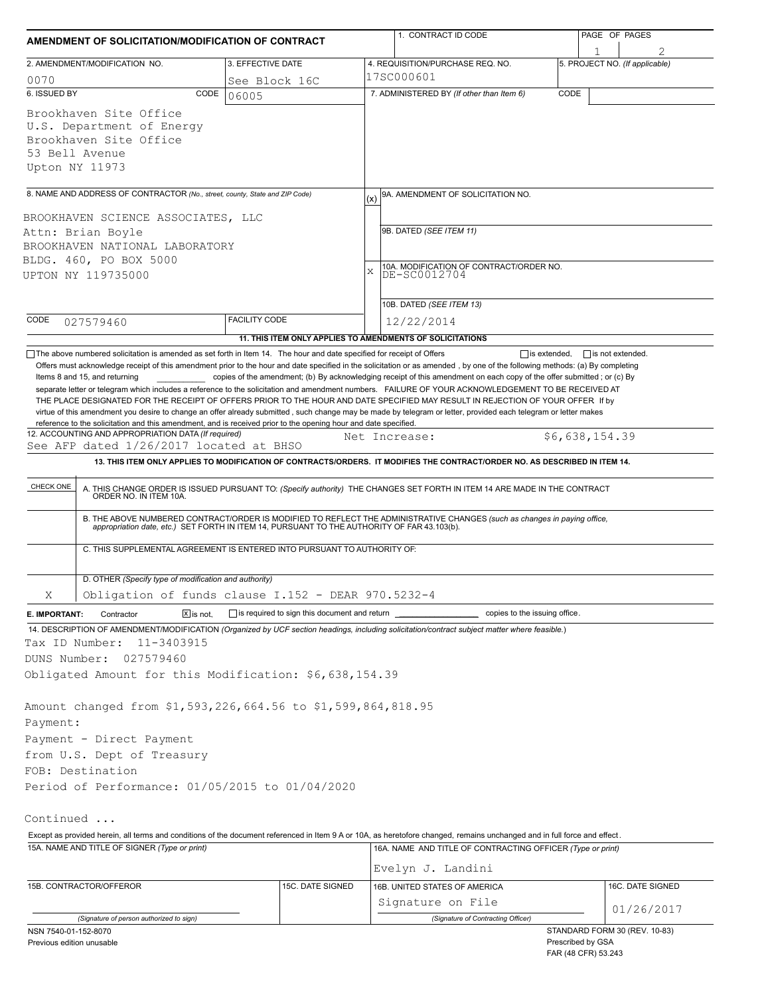|                                                                                                                                                                                                                                                                                                                                                                                                                                                                                                                                                                                                                                                                                                                                               | AMENDMENT OF SOLICITATION/MODIFICATION OF CONTRACT | 1. CONTRACT ID CODE                                                                                                                                                                                                                                                                                                                                                                                                                                                                                                                                                                 | PAGE OF PAGES                  |  |  |
|-----------------------------------------------------------------------------------------------------------------------------------------------------------------------------------------------------------------------------------------------------------------------------------------------------------------------------------------------------------------------------------------------------------------------------------------------------------------------------------------------------------------------------------------------------------------------------------------------------------------------------------------------------------------------------------------------------------------------------------------------|----------------------------------------------------|-------------------------------------------------------------------------------------------------------------------------------------------------------------------------------------------------------------------------------------------------------------------------------------------------------------------------------------------------------------------------------------------------------------------------------------------------------------------------------------------------------------------------------------------------------------------------------------|--------------------------------|--|--|
| 2. AMENDMENT/MODIFICATION NO.                                                                                                                                                                                                                                                                                                                                                                                                                                                                                                                                                                                                                                                                                                                 | 3. EFFECTIVE DATE                                  | 4. REQUISITION/PURCHASE REQ. NO.                                                                                                                                                                                                                                                                                                                                                                                                                                                                                                                                                    | 5. PROJECT NO. (If applicable) |  |  |
| 0070                                                                                                                                                                                                                                                                                                                                                                                                                                                                                                                                                                                                                                                                                                                                          | See Block 16C                                      | 17SC000601                                                                                                                                                                                                                                                                                                                                                                                                                                                                                                                                                                          |                                |  |  |
| 6. ISSUED BY<br>CODE                                                                                                                                                                                                                                                                                                                                                                                                                                                                                                                                                                                                                                                                                                                          | 06005                                              | 7. ADMINISTERED BY (If other than Item 6)                                                                                                                                                                                                                                                                                                                                                                                                                                                                                                                                           | CODE                           |  |  |
| Brookhaven Site Office<br>U.S. Department of Energy<br>Brookhaven Site Office<br>53 Bell Avenue<br>Upton NY 11973                                                                                                                                                                                                                                                                                                                                                                                                                                                                                                                                                                                                                             |                                                    |                                                                                                                                                                                                                                                                                                                                                                                                                                                                                                                                                                                     |                                |  |  |
| 8. NAME AND ADDRESS OF CONTRACTOR (No., street, county, State and ZIP Code)                                                                                                                                                                                                                                                                                                                                                                                                                                                                                                                                                                                                                                                                   |                                                    | 9A. AMENDMENT OF SOLICITATION NO.                                                                                                                                                                                                                                                                                                                                                                                                                                                                                                                                                   |                                |  |  |
|                                                                                                                                                                                                                                                                                                                                                                                                                                                                                                                                                                                                                                                                                                                                               |                                                    | (x)                                                                                                                                                                                                                                                                                                                                                                                                                                                                                                                                                                                 |                                |  |  |
| BROOKHAVEN SCIENCE ASSOCIATES, LLC<br>Attn: Brian Boyle                                                                                                                                                                                                                                                                                                                                                                                                                                                                                                                                                                                                                                                                                       |                                                    | 9B. DATED (SEE ITEM 11)                                                                                                                                                                                                                                                                                                                                                                                                                                                                                                                                                             |                                |  |  |
| BROOKHAVEN NATIONAL LABORATORY                                                                                                                                                                                                                                                                                                                                                                                                                                                                                                                                                                                                                                                                                                                |                                                    |                                                                                                                                                                                                                                                                                                                                                                                                                                                                                                                                                                                     |                                |  |  |
| BLDG. 460, PO BOX 5000                                                                                                                                                                                                                                                                                                                                                                                                                                                                                                                                                                                                                                                                                                                        |                                                    |                                                                                                                                                                                                                                                                                                                                                                                                                                                                                                                                                                                     |                                |  |  |
| UPTON NY 119735000                                                                                                                                                                                                                                                                                                                                                                                                                                                                                                                                                                                                                                                                                                                            |                                                    | 10A. MODIFICATION OF CONTRACT/ORDER NO.<br>DE-SC0012704<br>$\mathbf x$                                                                                                                                                                                                                                                                                                                                                                                                                                                                                                              |                                |  |  |
|                                                                                                                                                                                                                                                                                                                                                                                                                                                                                                                                                                                                                                                                                                                                               |                                                    |                                                                                                                                                                                                                                                                                                                                                                                                                                                                                                                                                                                     |                                |  |  |
|                                                                                                                                                                                                                                                                                                                                                                                                                                                                                                                                                                                                                                                                                                                                               |                                                    | 10B. DATED (SEE ITEM 13)                                                                                                                                                                                                                                                                                                                                                                                                                                                                                                                                                            |                                |  |  |
| CODE<br>027579460                                                                                                                                                                                                                                                                                                                                                                                                                                                                                                                                                                                                                                                                                                                             | <b>FACILITY CODE</b>                               | 12/22/2014                                                                                                                                                                                                                                                                                                                                                                                                                                                                                                                                                                          |                                |  |  |
|                                                                                                                                                                                                                                                                                                                                                                                                                                                                                                                                                                                                                                                                                                                                               |                                                    | 11. THIS ITEM ONLY APPLIES TO AMENDMENTS OF SOLICITATIONS                                                                                                                                                                                                                                                                                                                                                                                                                                                                                                                           |                                |  |  |
| Items 8 and 15, and returning<br>reference to the solicitation and this amendment, and is received prior to the opening hour and date specified.                                                                                                                                                                                                                                                                                                                                                                                                                                                                                                                                                                                              |                                                    | copies of the amendment; (b) By acknowledging receipt of this amendment on each copy of the offer submitted; or (c) By<br>separate letter or telegram which includes a reference to the solicitation and amendment numbers. FAILURE OF YOUR ACKNOWLEDGEMENT TO BE RECEIVED AT<br>THE PLACE DESIGNATED FOR THE RECEIPT OF OFFERS PRIOR TO THE HOUR AND DATE SPECIFIED MAY RESULT IN REJECTION OF YOUR OFFER If by<br>virtue of this amendment you desire to change an offer already submitted, such change may be made by telegram or letter, provided each telegram or letter makes |                                |  |  |
| 12. ACCOUNTING AND APPROPRIATION DATA (If required)                                                                                                                                                                                                                                                                                                                                                                                                                                                                                                                                                                                                                                                                                           |                                                    | Net Increase:                                                                                                                                                                                                                                                                                                                                                                                                                                                                                                                                                                       | \$6,638,154.39                 |  |  |
| See AFP dated 1/26/2017 located at BHSO                                                                                                                                                                                                                                                                                                                                                                                                                                                                                                                                                                                                                                                                                                       |                                                    |                                                                                                                                                                                                                                                                                                                                                                                                                                                                                                                                                                                     |                                |  |  |
|                                                                                                                                                                                                                                                                                                                                                                                                                                                                                                                                                                                                                                                                                                                                               |                                                    | 13. THIS ITEM ONLY APPLIES TO MODIFICATION OF CONTRACTS/ORDERS. IT MODIFIES THE CONTRACT/ORDER NO. AS DESCRIBED IN ITEM 14.                                                                                                                                                                                                                                                                                                                                                                                                                                                         |                                |  |  |
| CHECK ONE                                                                                                                                                                                                                                                                                                                                                                                                                                                                                                                                                                                                                                                                                                                                     |                                                    | A. THIS CHANGE ORDER IS ISSUED PURSUANT TO: (Specify authority) THE CHANGES SET FORTH IN ITEM 14 ARE MADE IN THE CONTRACT ORDER NO. IN ITEM 10A.<br>B. THE ABOVE NUMBERED CONTRACT/ORDER IS MODIFIED TO REFLECT THE ADMINISTRATIVE CHANGES (such as changes in paying office,<br>appropriation date, etc.) SET FORTH IN ITEM 14, PURSUANT TO THE AUTHORITY OF FAR 43.103(b).                                                                                                                                                                                                        |                                |  |  |
| C. THIS SUPPLEMENTAL AGREEMENT IS ENTERED INTO PURSUANT TO AUTHORITY OF:                                                                                                                                                                                                                                                                                                                                                                                                                                                                                                                                                                                                                                                                      |                                                    |                                                                                                                                                                                                                                                                                                                                                                                                                                                                                                                                                                                     |                                |  |  |
|                                                                                                                                                                                                                                                                                                                                                                                                                                                                                                                                                                                                                                                                                                                                               |                                                    |                                                                                                                                                                                                                                                                                                                                                                                                                                                                                                                                                                                     |                                |  |  |
| D. OTHER (Specify type of modification and authority)                                                                                                                                                                                                                                                                                                                                                                                                                                                                                                                                                                                                                                                                                         |                                                    |                                                                                                                                                                                                                                                                                                                                                                                                                                                                                                                                                                                     |                                |  |  |
| Obligation of funds clause I.152 - DEAR 970.5232-4<br>Χ                                                                                                                                                                                                                                                                                                                                                                                                                                                                                                                                                                                                                                                                                       |                                                    |                                                                                                                                                                                                                                                                                                                                                                                                                                                                                                                                                                                     |                                |  |  |
| Contractor<br>$X$ is not.                                                                                                                                                                                                                                                                                                                                                                                                                                                                                                                                                                                                                                                                                                                     | is required to sign this document and return       | ___ copies to the issuing office.                                                                                                                                                                                                                                                                                                                                                                                                                                                                                                                                                   |                                |  |  |
|                                                                                                                                                                                                                                                                                                                                                                                                                                                                                                                                                                                                                                                                                                                                               |                                                    |                                                                                                                                                                                                                                                                                                                                                                                                                                                                                                                                                                                     |                                |  |  |
| 11-3403915                                                                                                                                                                                                                                                                                                                                                                                                                                                                                                                                                                                                                                                                                                                                    |                                                    |                                                                                                                                                                                                                                                                                                                                                                                                                                                                                                                                                                                     |                                |  |  |
| 027579460                                                                                                                                                                                                                                                                                                                                                                                                                                                                                                                                                                                                                                                                                                                                     |                                                    |                                                                                                                                                                                                                                                                                                                                                                                                                                                                                                                                                                                     |                                |  |  |
|                                                                                                                                                                                                                                                                                                                                                                                                                                                                                                                                                                                                                                                                                                                                               |                                                    |                                                                                                                                                                                                                                                                                                                                                                                                                                                                                                                                                                                     |                                |  |  |
|                                                                                                                                                                                                                                                                                                                                                                                                                                                                                                                                                                                                                                                                                                                                               |                                                    |                                                                                                                                                                                                                                                                                                                                                                                                                                                                                                                                                                                     |                                |  |  |
|                                                                                                                                                                                                                                                                                                                                                                                                                                                                                                                                                                                                                                                                                                                                               |                                                    |                                                                                                                                                                                                                                                                                                                                                                                                                                                                                                                                                                                     |                                |  |  |
|                                                                                                                                                                                                                                                                                                                                                                                                                                                                                                                                                                                                                                                                                                                                               |                                                    |                                                                                                                                                                                                                                                                                                                                                                                                                                                                                                                                                                                     |                                |  |  |
|                                                                                                                                                                                                                                                                                                                                                                                                                                                                                                                                                                                                                                                                                                                                               |                                                    |                                                                                                                                                                                                                                                                                                                                                                                                                                                                                                                                                                                     |                                |  |  |
|                                                                                                                                                                                                                                                                                                                                                                                                                                                                                                                                                                                                                                                                                                                                               |                                                    |                                                                                                                                                                                                                                                                                                                                                                                                                                                                                                                                                                                     |                                |  |  |
|                                                                                                                                                                                                                                                                                                                                                                                                                                                                                                                                                                                                                                                                                                                                               |                                                    |                                                                                                                                                                                                                                                                                                                                                                                                                                                                                                                                                                                     |                                |  |  |
|                                                                                                                                                                                                                                                                                                                                                                                                                                                                                                                                                                                                                                                                                                                                               |                                                    |                                                                                                                                                                                                                                                                                                                                                                                                                                                                                                                                                                                     |                                |  |  |
|                                                                                                                                                                                                                                                                                                                                                                                                                                                                                                                                                                                                                                                                                                                                               |                                                    |                                                                                                                                                                                                                                                                                                                                                                                                                                                                                                                                                                                     |                                |  |  |
|                                                                                                                                                                                                                                                                                                                                                                                                                                                                                                                                                                                                                                                                                                                                               |                                                    |                                                                                                                                                                                                                                                                                                                                                                                                                                                                                                                                                                                     |                                |  |  |
|                                                                                                                                                                                                                                                                                                                                                                                                                                                                                                                                                                                                                                                                                                                                               |                                                    | 16A. NAME AND TITLE OF CONTRACTING OFFICER (Type or print)                                                                                                                                                                                                                                                                                                                                                                                                                                                                                                                          |                                |  |  |
|                                                                                                                                                                                                                                                                                                                                                                                                                                                                                                                                                                                                                                                                                                                                               |                                                    |                                                                                                                                                                                                                                                                                                                                                                                                                                                                                                                                                                                     |                                |  |  |
|                                                                                                                                                                                                                                                                                                                                                                                                                                                                                                                                                                                                                                                                                                                                               |                                                    | Evelyn J. Landini                                                                                                                                                                                                                                                                                                                                                                                                                                                                                                                                                                   |                                |  |  |
| E. IMPORTANT:<br>14. DESCRIPTION OF AMENDMENT/MODIFICATION (Organized by UCF section headings, including solicitation/contract subject matter where feasible.)<br>Tax ID Number:<br>DUNS Number:<br>Obligated Amount for this Modification: \$6,638,154.39<br>Amount changed from \$1,593,226,664.56 to \$1,599,864,818.95<br>Payment:<br>Payment - Direct Payment<br>from U.S. Dept of Treasury<br>FOB: Destination<br>Period of Performance: 01/05/2015 to 01/04/2020<br>Continued<br>Except as provided herein, all terms and conditions of the document referenced in Item 9 A or 10A, as heretofore changed, remains unchanged and in full force and effect.<br>15A. NAME AND TITLE OF SIGNER (Type or print)<br>15B. CONTRACTOR/OFFEROR | 15C. DATE SIGNED                                   | 16B. UNITED STATES OF AMERICA                                                                                                                                                                                                                                                                                                                                                                                                                                                                                                                                                       | 16C. DATE SIGNED               |  |  |
| (Signature of person authorized to sign)                                                                                                                                                                                                                                                                                                                                                                                                                                                                                                                                                                                                                                                                                                      |                                                    | Signature on File<br>(Signature of Contracting Officer)                                                                                                                                                                                                                                                                                                                                                                                                                                                                                                                             | 01/26/2017                     |  |  |

FAR (48 CFR) 53.243